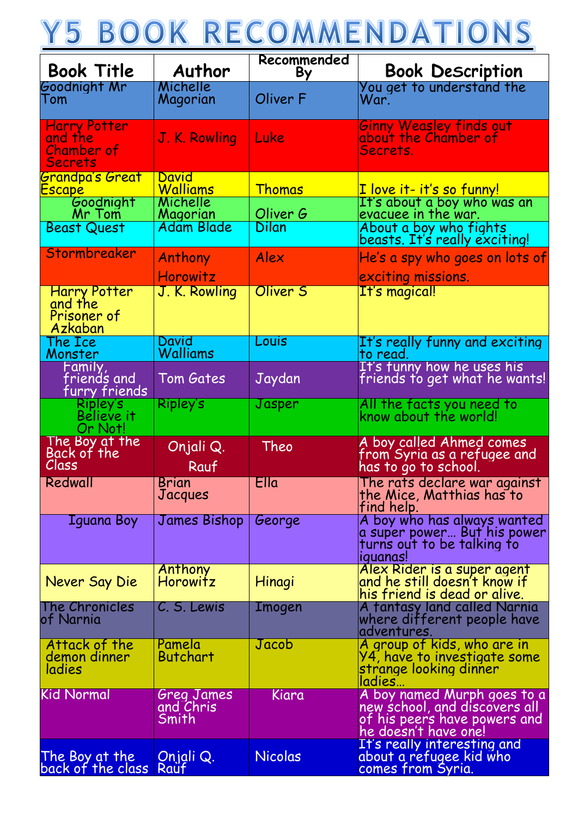## Y5 BOOK RECOMMENDATIONS

| <b>Book Title</b>                                                     | Author                                  | Recommended<br>By | <b>Book Description</b>                                                                                              |
|-----------------------------------------------------------------------|-----------------------------------------|-------------------|----------------------------------------------------------------------------------------------------------------------|
| Goodnight Mr<br>Tom                                                   | Michelle<br>Magorian                    | Oliver F          | You get to understand the<br>War.                                                                                    |
| <b>Harry Potter</b><br>and the<br><b>Chamber of</b><br><b>Secrets</b> | J. K. Rowling                           | Luke              | Ginny Weasley finds out<br>about the Chamber of<br>Secrets.                                                          |
| <b>Grandpa's Great</b><br><u>Escape</u>                               | David<br>Walliams<br>Michelle           | <b>Thomas</b>     | I love it- it's so funny!                                                                                            |
| Goodnight<br>Mr Tom<br><b>Beast Quest</b>                             | Magorian<br><b>Adam Blade</b>           | Oliver G<br>Dilan | It's about a boy who was an<br>evacuee in the war.<br>About a boy who fights<br>beasts. It's really exciting!        |
| Stormbreaker                                                          | Anthony<br>Horowitz                     | Alex              | $ He's$ a spy who goes on lots of<br>exciting missions.                                                              |
| <b>Harry Potter</b><br>and the<br>Prisoner of<br>Azkaban              | J. K. Rowling                           | <b>Oliver 5</b>   | It's magical!                                                                                                        |
| The Ice<br>Monster                                                    | David<br>Walliams                       | Louis             | It's really funny and exciting<br>to read.                                                                           |
| Family,<br>friends and<br>furry friends                               | Tom Gates                               | Jaydan            | It's funny how he uses his<br>friends to get what he wants!                                                          |
| Ripley's<br><b>Believe it</b><br>Or Not!                              | Ripley's                                | Jasper            | All the facts you need to<br>know about the world!                                                                   |
| The Boy at the<br>Back of the<br>Class                                | Onjali Q.<br>Rauf                       | Theo              | A boy called Ahmed comes<br>from Syria as a refugee and<br>has to go to school.                                      |
| Redwall                                                               | <b>Brian</b><br>Jacques                 | Ella              | The rats declare war against<br>the Mice, Matthias has to<br>find help.                                              |
| Iguana Boy                                                            | <b>James Bishop</b>                     | George            | A boy who has always wanted<br>a super power But his power<br>turns out to be talking to<br><i>iquanas!</i>          |
| Never Say Die                                                         | Anthony<br>Horowitz                     | Hinagi            | Alex Rider is a super agent<br>and he still doesn't know if<br>his friend is dead or alive.                          |
| The Chronicles<br>of Narnia                                           | C. S. Lewis                             | <b>Imogen</b>     | A fantasy land called Narnia<br>where different people have<br>adventures.                                           |
| Attack of the<br>demon dinner<br>ladies                               | Pamela<br><b>Butchart</b>               | Jacob             | A group of kids, who are in<br><b>Y4, have to investigate some</b><br>strange looking dinner<br>ladies               |
| <b>Kid Normal</b>                                                     | Greg James<br>and Chris<br><u>Smith</u> | Kiara             | A boy named Murph goes to a<br>new school, and discovers all<br>of his peers have powers and<br>he doesn't have one! |
| The Boy at the<br>back of the class                                   | Onjali Q.<br>Rauf                       | <b>Nicolas</b>    | It's really interesting and<br>about a refugee kid who<br>comes from Syria.                                          |